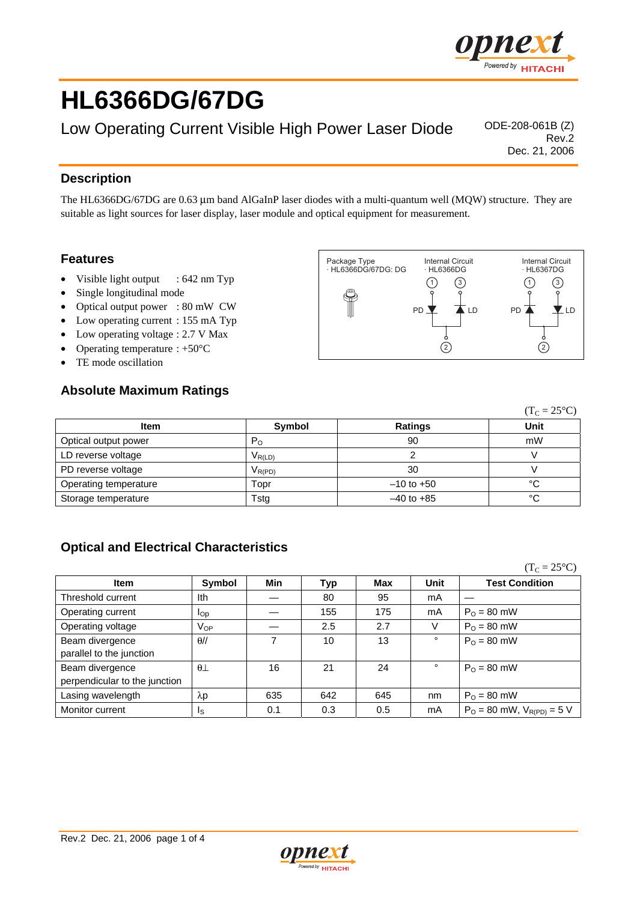

# **HL6366DG/67DG**

Low Operating Current Visible High Power Laser Diode <sup>ODE-208-061B</sup> (Z)

Rev.2 Dec. 21, 2006

#### **Description**

The HL6366DG/67DG are 0.63 µm band AlGaInP laser diodes with a multi-quantum well (MQW) structure. They are suitable as light sources for laser display, laser module and optical equipment for measurement.

#### **Features**

- Visible light output : 642 nm Typ
- Single longitudinal mode
- Optical output power : 80 mW CW
- Low operating current : 155 mA Typ
- Low operating voltage : 2.7 V Max
- Operating temperature  $: +50^{\circ}C$
- TE mode oscillation

#### **Absolute Maximum Ratings**



|                       |                                        |                | $(T_C = 25^{\circ}C)$ |  |
|-----------------------|----------------------------------------|----------------|-----------------------|--|
| <b>Item</b>           | Symbol                                 | Ratings        | Unit                  |  |
| Optical output power  | $P_{\rm O}$                            | 90             | mW                    |  |
| LD reverse voltage    | $V_{R(LD)}$                            |                |                       |  |
| PD reverse voltage    | $\mathsf{V}_{\mathsf{R}(\mathsf{PD})}$ | 30             |                       |  |
| Operating temperature | Topr                                   | $-10$ to $+50$ | °C                    |  |
| Storage temperature   | Tstg                                   | $-40$ to $+85$ | °C                    |  |

### **Optical and Electrical Characteristics**

 $(T_C = 25^{\circ}C)$ **Item Symbol Min Typ Max Unit Test Condition**  Threshold current  $\vert$  Ith  $\vert$   $\vert$   $\vert$   $\vert$   $\vert$   $\vert$  80  $\vert$  95  $\vert$  mA Operating current  $\begin{vmatrix} 1_{\text{Op}} & \end{vmatrix}$  – 155 175 | mA  $\begin{vmatrix} P_{\text{O}} = 80 \text{ mW} \end{vmatrix}$ Operating voltage VOP — 2.5 2.7 V PO = 80 mW Beam divergence parallel to the junction  $\theta$ // 17 10 13  $\theta$  P<sub>O</sub> = 80 mW Beam divergence perpendicular to the junction  $\theta$ ⊥ 16 21 24 ° P<sub>0</sub> = 80 mW Lasing wavelength  $\lambda$ p | 635 | 642 | 645 | nm | P<sub>O</sub> = 80 mW Monitor current  $\begin{vmatrix} 1_S \\ 1_S \end{vmatrix}$  0.1 0.3 0.5 mA  $P_0 = 80$  mW, V<sub>R(PD)</sub> = 5 V

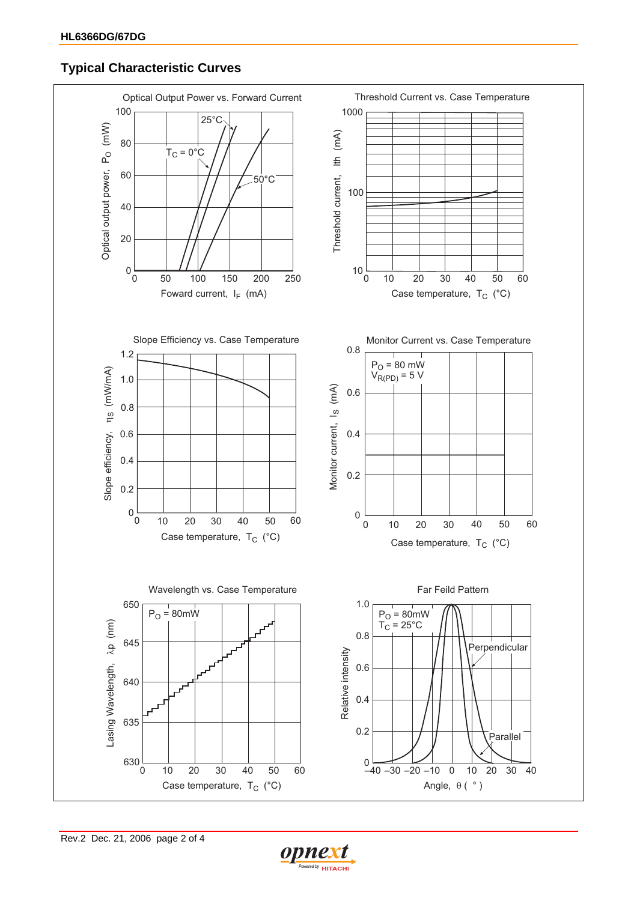## **Typical Characteristic Curves**



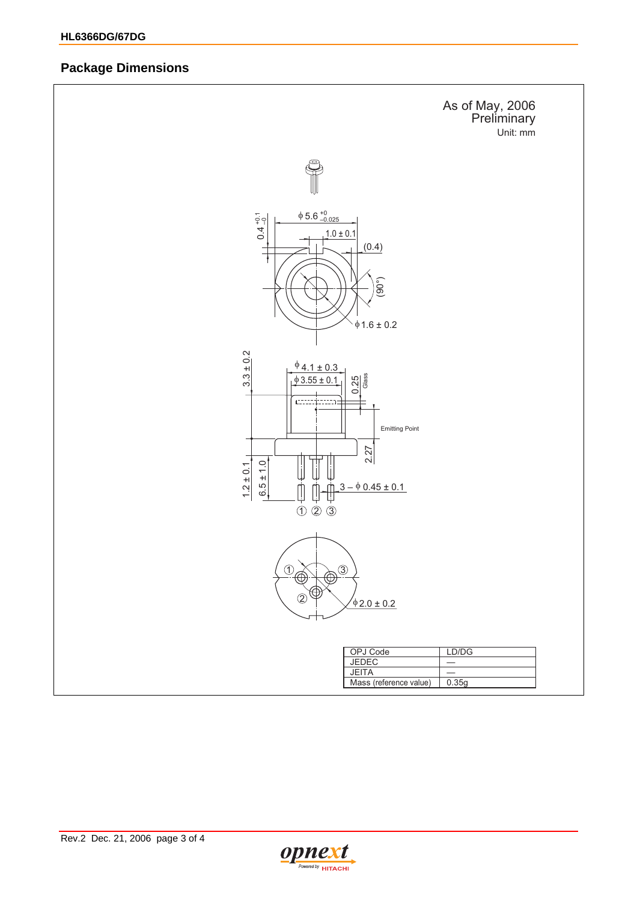### **Package Dimensions**